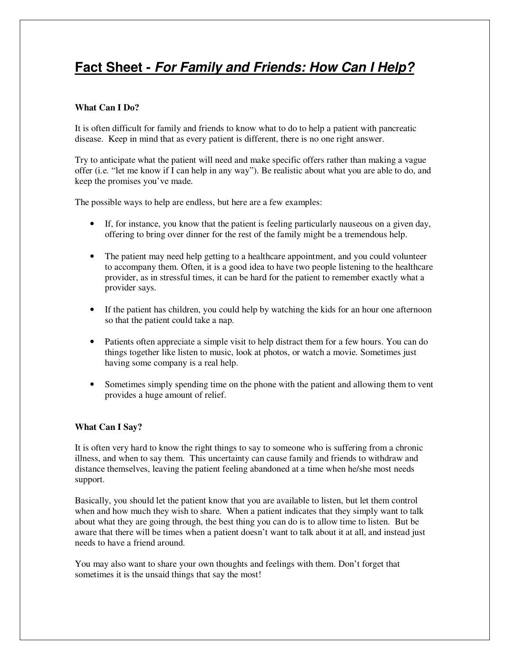# **Fact Sheet - For Family and Friends: How Can I Help?**

## **What Can I Do?**

It is often difficult for family and friends to know what to do to help a patient with pancreatic disease. Keep in mind that as every patient is different, there is no one right answer.

Try to anticipate what the patient will need and make specific offers rather than making a vague offer (i.e. "let me know if I can help in any way"). Be realistic about what you are able to do, and keep the promises you've made.

The possible ways to help are endless, but here are a few examples:

- If, for instance, you know that the patient is feeling particularly nauseous on a given day, offering to bring over dinner for the rest of the family might be a tremendous help.
- The patient may need help getting to a healthcare appointment, and you could volunteer to accompany them. Often, it is a good idea to have two people listening to the healthcare provider, as in stressful times, it can be hard for the patient to remember exactly what a provider says.
- If the patient has children, you could help by watching the kids for an hour one afternoon so that the patient could take a nap.
- Patients often appreciate a simple visit to help distract them for a few hours. You can do things together like listen to music, look at photos, or watch a movie. Sometimes just having some company is a real help.
- Sometimes simply spending time on the phone with the patient and allowing them to vent provides a huge amount of relief.

### **What Can I Say?**

It is often very hard to know the right things to say to someone who is suffering from a chronic illness, and when to say them. This uncertainty can cause family and friends to withdraw and distance themselves, leaving the patient feeling abandoned at a time when he/she most needs support.

Basically, you should let the patient know that you are available to listen, but let them control when and how much they wish to share. When a patient indicates that they simply want to talk about what they are going through, the best thing you can do is to allow time to listen. But be aware that there will be times when a patient doesn't want to talk about it at all, and instead just needs to have a friend around.

You may also want to share your own thoughts and feelings with them. Don't forget that sometimes it is the unsaid things that say the most!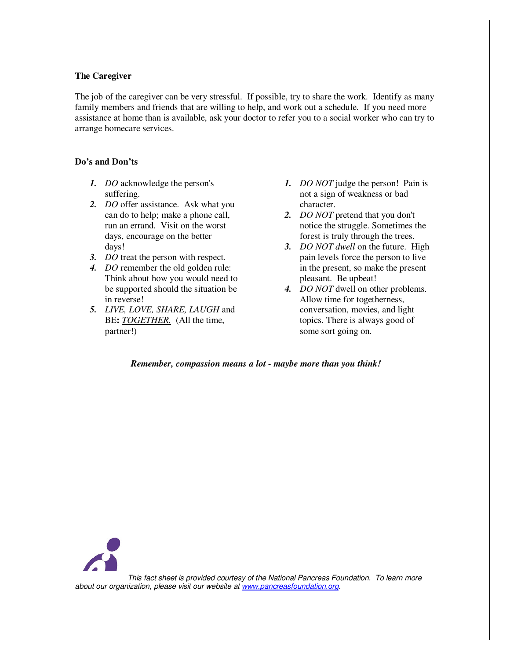#### **The Caregiver**

The job of the caregiver can be very stressful. If possible, try to share the work. Identify as many family members and friends that are willing to help, and work out a schedule. If you need more assistance at home than is available, ask your doctor to refer you to a social worker who can try to arrange homecare services.

#### **Do's and Don'ts**

- *1. DO* acknowledge the person's suffering.
- *2. DO* offer assistance. Ask what you can do to help; make a phone call, run an errand. Visit on the worst days, encourage on the better days!
- *3. DO* treat the person with respect.
- *4. DO* remember the old golden rule: Think about how you would need to be supported should the situation be in reverse!
- *5. LIVE, LOVE, SHARE, LAUGH* and BE**:** *TOGETHER.* (All the time, partner!)
- *1. DO NOT* judge the person! Pain is not a sign of weakness or bad character.
- *2. DO NOT* pretend that you don't notice the struggle. Sometimes the forest is truly through the trees.
- *3. DO NOT dwell* on the future. High pain levels force the person to live in the present, so make the present pleasant. Be upbeat!
- *4. DO NOT* dwell on other problems. Allow time for togetherness, conversation, movies, and light topics. There is always good of some sort going on.

### *Remember, compassion means a lot - maybe more than you think!*



This fact sheet is provided courtesy of the National Pancreas Foundation. To learn more about our organization, please visit our website at www.pancreasfoundation.org.